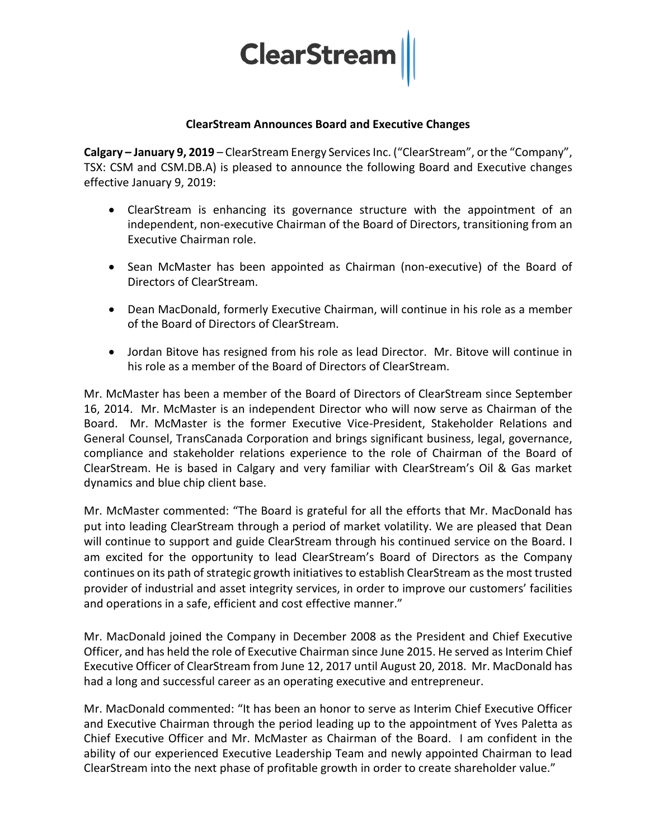

# **ClearStream Announces Board and Executive Changes**

**Calgary – January 9, 2019** – ClearStream Energy Services Inc. ("ClearStream", or the "Company", TSX: CSM and CSM.DB.A) is pleased to announce the following Board and Executive changes effective January 9, 2019:

- ClearStream is enhancing its governance structure with the appointment of an independent, non-executive Chairman of the Board of Directors, transitioning from an Executive Chairman role.
- Sean McMaster has been appointed as Chairman (non-executive) of the Board of Directors of ClearStream.
- Dean MacDonald, formerly Executive Chairman, will continue in his role as a member of the Board of Directors of ClearStream.
- Jordan Bitove has resigned from his role as lead Director. Mr. Bitove will continue in his role as a member of the Board of Directors of ClearStream.

Mr. McMaster has been a member of the Board of Directors of ClearStream since September 16, 2014. Mr. McMaster is an independent Director who will now serve as Chairman of the Board. Mr. McMaster is the former Executive Vice-President, Stakeholder Relations and General Counsel, TransCanada Corporation and brings significant business, legal, governance, compliance and stakeholder relations experience to the role of Chairman of the Board of ClearStream. He is based in Calgary and very familiar with ClearStream's Oil & Gas market dynamics and blue chip client base.

Mr. McMaster commented: "The Board is grateful for all the efforts that Mr. MacDonald has put into leading ClearStream through a period of market volatility. We are pleased that Dean will continue to support and guide ClearStream through his continued service on the Board. I am excited for the opportunity to lead ClearStream's Board of Directors as the Company continues on its path of strategic growth initiatives to establish ClearStream as the most trusted provider of industrial and asset integrity services, in order to improve our customers' facilities and operations in a safe, efficient and cost effective manner."

Mr. MacDonald joined the Company in December 2008 as the President and Chief Executive Officer, and has held the role of Executive Chairman since June 2015. He served as Interim Chief Executive Officer of ClearStream from June 12, 2017 until August 20, 2018. Mr. MacDonald has had a long and successful career as an operating executive and entrepreneur.

Mr. MacDonald commented: "It has been an honor to serve as Interim Chief Executive Officer and Executive Chairman through the period leading up to the appointment of Yves Paletta as Chief Executive Officer and Mr. McMaster as Chairman of the Board. I am confident in the ability of our experienced Executive Leadership Team and newly appointed Chairman to lead ClearStream into the next phase of profitable growth in order to create shareholder value."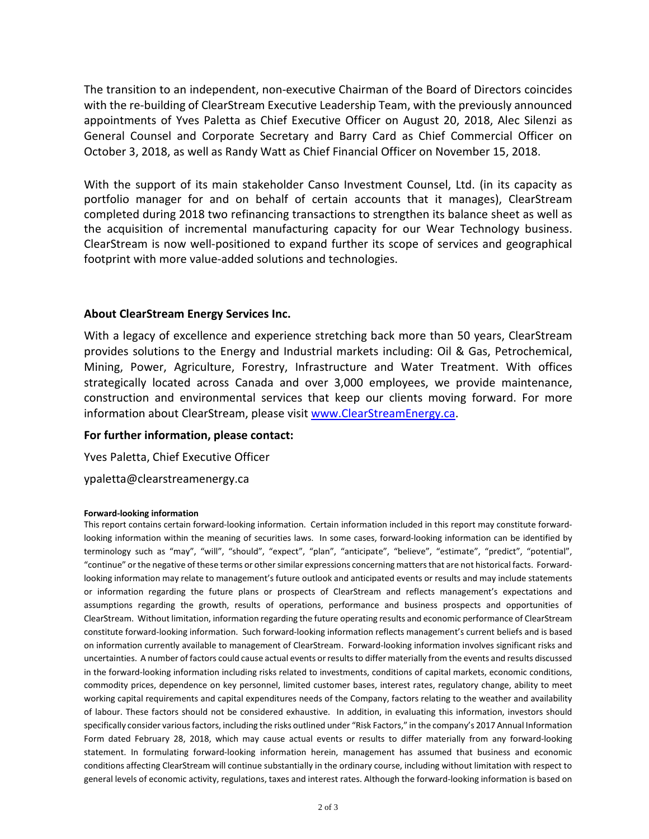The transition to an independent, non-executive Chairman of the Board of Directors coincides with the re-building of ClearStream Executive Leadership Team, with the previously announced appointments of Yves Paletta as Chief Executive Officer on August 20, 2018, Alec Silenzi as General Counsel and Corporate Secretary and Barry Card as Chief Commercial Officer on October 3, 2018, as well as Randy Watt as Chief Financial Officer on November 15, 2018.

With the support of its main stakeholder Canso Investment Counsel, Ltd. (in its capacity as portfolio manager for and on behalf of certain accounts that it manages), ClearStream completed during 2018 two refinancing transactions to strengthen its balance sheet as well as the acquisition of incremental manufacturing capacity for our Wear Technology business. ClearStream is now well-positioned to expand further its scope of services and geographical footprint with more value-added solutions and technologies.

## **About ClearStream Energy Services Inc.**

With a legacy of excellence and experience stretching back more than 50 years, ClearStream provides solutions to the Energy and Industrial markets including: Oil & Gas, Petrochemical, Mining, Power, Agriculture, Forestry, Infrastructure and Water Treatment. With offices strategically located across Canada and over 3,000 employees, we provide maintenance, construction and environmental services that keep our clients moving forward. For more information about ClearStream, please visit [www.ClearStreamEnergy.ca.](http://www.clearstreamenergy.ca/)

## **For further information, please contact:**

Yves Paletta, Chief Executive Officer

ypaletta@clearstreamenergy.ca

#### **Forward-looking information**

This report contains certain forward-looking information. Certain information included in this report may constitute forwardlooking information within the meaning of securities laws. In some cases, forward-looking information can be identified by terminology such as "may", "will", "should", "expect", "plan", "anticipate", "believe", "estimate", "predict", "potential", "continue" or the negative of these terms or other similar expressions concerning matters that are not historical facts. Forwardlooking information may relate to management's future outlook and anticipated events or results and may include statements or information regarding the future plans or prospects of ClearStream and reflects management's expectations and assumptions regarding the growth, results of operations, performance and business prospects and opportunities of ClearStream. Without limitation, information regarding the future operating results and economic performance of ClearStream constitute forward-looking information. Such forward-looking information reflects management's current beliefs and is based on information currently available to management of ClearStream. Forward-looking information involves significant risks and uncertainties. A number of factors could cause actual events or results to differ materially from the events and results discussed in the forward-looking information including risks related to investments, conditions of capital markets, economic conditions, commodity prices, dependence on key personnel, limited customer bases, interest rates, regulatory change, ability to meet working capital requirements and capital expenditures needs of the Company, factors relating to the weather and availability of labour. These factors should not be considered exhaustive. In addition, in evaluating this information, investors should specifically consider various factors, including the risks outlined under "Risk Factors," in the company's 2017 Annual Information Form dated February 28, 2018, which may cause actual events or results to differ materially from any forward-looking statement. In formulating forward-looking information herein, management has assumed that business and economic conditions affecting ClearStream will continue substantially in the ordinary course, including without limitation with respect to general levels of economic activity, regulations, taxes and interest rates. Although the forward-looking information is based on